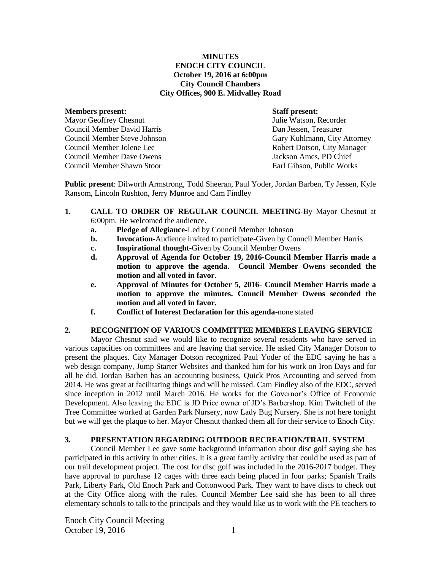## **MINUTES ENOCH CITY COUNCIL October 19, 2016 at 6:00pm City Council Chambers City Offices, 900 E. Midvalley Road**

#### **Members present: Staff present:**

Mayor Geoffrey Chesnut Julie Watson, Recorder Council Member David Harris Dan Jessen, Treasurer Council Member Steve Johnson Gary Kuhlmann, City Attorney Council Member Jolene Lee Robert Dotson, City Manager Council Member Dave Owens Jackson Ames, PD Chief Council Member Shawn Stoor Earl Gibson, Public Works

**Public present**: Dilworth Armstrong, Todd Sheeran, Paul Yoder, Jordan Barben, Ty Jessen, Kyle Ransom, Lincoln Rushton, Jerry Munroe and Cam Findley

- **1. CALL TO ORDER OF REGULAR COUNCIL MEETING-**By Mayor Chesnut at 6:00pm. He welcomed the audience.
	- **a. Pledge of Allegiance-**Led by Council Member Johnson
	- **b. Invocation-**Audience invited to participate-Given by Council Member Harris
	- **c. Inspirational thought-**Given by Council Member Owens
	- **d. Approval of Agenda for October 19, 2016-Council Member Harris made a motion to approve the agenda. Council Member Owens seconded the motion and all voted in favor.**
	- **e. Approval of Minutes for October 5, 2016- Council Member Harris made a motion to approve the minutes. Council Member Owens seconded the motion and all voted in favor.**
	- **f. Conflict of Interest Declaration for this agenda-**none stated

## **2. RECOGNITION OF VARIOUS COMMITTEE MEMBERS LEAVING SERVICE**

Mayor Chesnut said we would like to recognize several residents who have served in various capacities on committees and are leaving that service. He asked City Manager Dotson to present the plaques. City Manager Dotson recognized Paul Yoder of the EDC saying he has a web design company, Jump Starter Websites and thanked him for his work on Iron Days and for all he did. Jordan Barben has an accounting business, Quick Pros Accounting and served from 2014. He was great at facilitating things and will be missed. Cam Findley also of the EDC, served since inception in 2012 until March 2016. He works for the Governor's Office of Economic Development. Also leaving the EDC is JD Price owner of JD's Barbershop. Kim Twitchell of the Tree Committee worked at Garden Park Nursery, now Lady Bug Nursery. She is not here tonight but we will get the plaque to her. Mayor Chesnut thanked them all for their service to Enoch City.

# **3. PRESENTATION REGARDING OUTDOOR RECREATION/TRAIL SYSTEM**

Council Member Lee gave some background information about disc golf saying she has participated in this activity in other cities. It is a great family activity that could be used as part of our trail development project. The cost for disc golf was included in the 2016-2017 budget. They have approval to purchase 12 cages with three each being placed in four parks; Spanish Trails Park, Liberty Park, Old Enoch Park and Cottonwood Park. They want to have discs to check out at the City Office along with the rules. Council Member Lee said she has been to all three elementary schools to talk to the principals and they would like us to work with the PE teachers to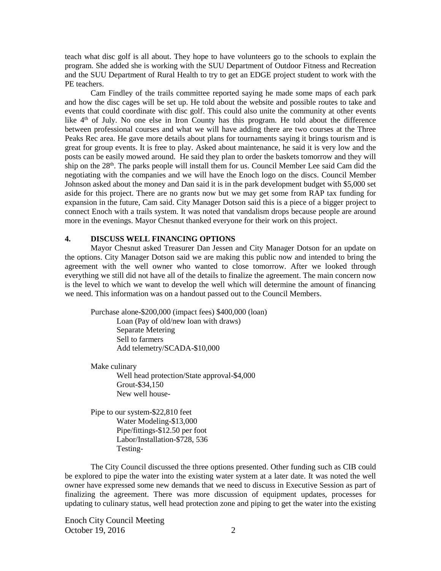teach what disc golf is all about. They hope to have volunteers go to the schools to explain the program. She added she is working with the SUU Department of Outdoor Fitness and Recreation and the SUU Department of Rural Health to try to get an EDGE project student to work with the PE teachers.

Cam Findley of the trails committee reported saying he made some maps of each park and how the disc cages will be set up. He told about the website and possible routes to take and events that could coordinate with disc golf. This could also unite the community at other events like  $4<sup>th</sup>$  of July. No one else in Iron County has this program. He told about the difference between professional courses and what we will have adding there are two courses at the Three Peaks Rec area. He gave more details about plans for tournaments saying it brings tourism and is great for group events. It is free to play. Asked about maintenance, he said it is very low and the posts can be easily mowed around. He said they plan to order the baskets tomorrow and they will ship on the 28<sup>th</sup>. The parks people will install them for us. Council Member Lee said Cam did the negotiating with the companies and we will have the Enoch logo on the discs. Council Member Johnson asked about the money and Dan said it is in the park development budget with \$5,000 set aside for this project. There are no grants now but we may get some from RAP tax funding for expansion in the future, Cam said. City Manager Dotson said this is a piece of a bigger project to connect Enoch with a trails system. It was noted that vandalism drops because people are around more in the evenings. Mayor Chesnut thanked everyone for their work on this project.

## **4. DISCUSS WELL FINANCING OPTIONS**

Mayor Chesnut asked Treasurer Dan Jessen and City Manager Dotson for an update on the options. City Manager Dotson said we are making this public now and intended to bring the agreement with the well owner who wanted to close tomorrow. After we looked through everything we still did not have all of the details to finalize the agreement. The main concern now is the level to which we want to develop the well which will determine the amount of financing we need. This information was on a handout passed out to the Council Members.

Purchase alone-\$200,000 (impact fees) \$400,000 (loan) Loan (Pay of old/new loan with draws) Separate Metering Sell to farmers Add telemetry/SCADA-\$10,000

Make culinary Well head protection/State approval-\$4,000 Grout-\$34,150 New well house-

Pipe to our system-\$22,810 feet Water Modeling-\$13,000 Pipe/fittings-\$12.50 per foot Labor/Installation-\$728, 536 Testing-

The City Council discussed the three options presented. Other funding such as CIB could be explored to pipe the water into the existing water system at a later date. It was noted the well owner have expressed some new demands that we need to discuss in Executive Session as part of finalizing the agreement. There was more discussion of equipment updates, processes for updating to culinary status, well head protection zone and piping to get the water into the existing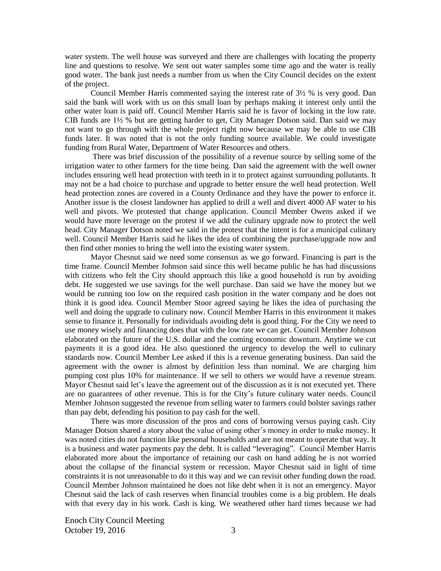water system. The well house was surveyed and there are challenges with locating the property line and questions to resolve. We sent out water samples some time ago and the water is really good water. The bank just needs a number from us when the City Council decides on the extent of the project.

Council Member Harris commented saying the interest rate of 3½ % is very good. Dan said the bank will work with us on this small loan by perhaps making it interest only until the other water loan is paid off. Council Member Harris said he is favor of locking in the low rate. CIB funds are 1½ % but are getting harder to get, City Manager Dotson said. Dan said we may not want to go through with the whole project right now because we may be able to use CIB funds later. It was noted that is not the only funding source available. We could investigate funding from Rural Water, Department of Water Resources and others.

There was brief discussion of the possibility of a revenue source by selling some of the irrigation water to other farmers for the time being. Dan said the agreement with the well owner includes ensuring well head protection with teeth in it to protect against surrounding pollutants. It may not be a bad choice to purchase and upgrade to better ensure the well head protection. Well head protection zones are covered in a County Ordinance and they have the power to enforce it. Another issue is the closest landowner has applied to drill a well and divert 4000 AF water to his well and pivots. We protested that change application. Council Member Owens asked if we would have more leverage on the protest if we add the culinary upgrade now to protect the well head. City Manager Dotson noted we said in the protest that the intent is for a municipal culinary well. Council Member Harris said he likes the idea of combining the purchase/upgrade now and then find other monies to bring the well into the existing water system.

Mayor Chesnut said we need some consensus as we go forward. Financing is part is the time frame. Council Member Johnson said since this well became public he has had discussions with citizens who felt the City should approach this like a good household is run by avoiding debt. He suggested we use savings for the well purchase. Dan said we have the money but we would be running too low on the required cash position in the water company and he does not think it is good idea. Council Member Stoor agreed saying he likes the idea of purchasing the well and doing the upgrade to culinary now. Council Member Harris in this environment it makes sense to finance it. Personally for individuals avoiding debt is good thing. For the City we need to use money wisely and financing does that with the low rate we can get. Council Member Johnson elaborated on the future of the U.S. dollar and the coming economic downturn. Anytime we cut payments it is a good idea. He also questioned the urgency to develop the well to culinary standards now. Council Member Lee asked if this is a revenue generating business. Dan said the agreement with the owner is almost by definition less than nominal. We are charging him pumping cost plus 10% for maintenance. If we sell to others we would have a revenue stream. Mayor Chesnut said let's leave the agreement out of the discussion as it is not executed yet. There are no guarantees of other revenue. This is for the City's future culinary water needs. Council Member Johnson suggested the revenue from selling water to farmers could bolster savings rather than pay debt, defending his position to pay cash for the well.

There was more discussion of the pros and cons of borrowing versus paying cash. City Manager Dotson shared a story about the value of using other's money in order to make money. It was noted cities do not function like personal households and are not meant to operate that way. It is a business and water payments pay the debt. It is called "leveraging". Council Member Harris elaborated more about the importance of retaining our cash on hand adding he is not worried about the collapse of the financial system or recession. Mayor Chesnut said in light of time constraints it is not unreasonable to do it this way and we can revisit other funding down the road. Council Member Johnson maintained he does not like debt when it is not an emergency. Mayor Chesnut said the lack of cash reserves when financial troubles come is a big problem. He deals with that every day in his work. Cash is king. We weathered other hard times because we had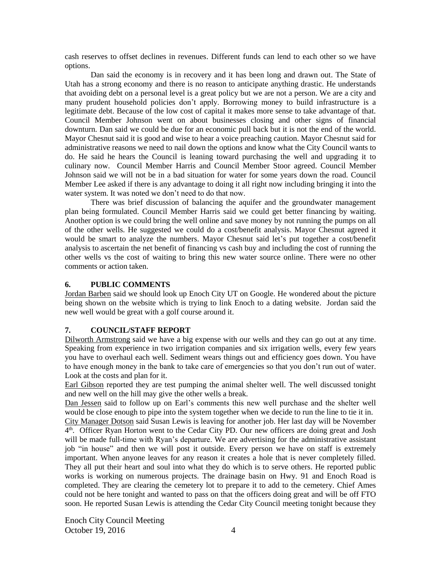cash reserves to offset declines in revenues. Different funds can lend to each other so we have options.

Dan said the economy is in recovery and it has been long and drawn out. The State of Utah has a strong economy and there is no reason to anticipate anything drastic. He understands that avoiding debt on a personal level is a great policy but we are not a person. We are a city and many prudent household policies don't apply. Borrowing money to build infrastructure is a legitimate debt. Because of the low cost of capital it makes more sense to take advantage of that. Council Member Johnson went on about businesses closing and other signs of financial downturn. Dan said we could be due for an economic pull back but it is not the end of the world. Mayor Chesnut said it is good and wise to hear a voice preaching caution. Mayor Chesnut said for administrative reasons we need to nail down the options and know what the City Council wants to do. He said he hears the Council is leaning toward purchasing the well and upgrading it to culinary now. Council Member Harris and Council Member Stoor agreed. Council Member Johnson said we will not be in a bad situation for water for some years down the road. Council Member Lee asked if there is any advantage to doing it all right now including bringing it into the water system. It was noted we don't need to do that now.

There was brief discussion of balancing the aquifer and the groundwater management plan being formulated. Council Member Harris said we could get better financing by waiting. Another option is we could bring the well online and save money by not running the pumps on all of the other wells. He suggested we could do a cost/benefit analysis. Mayor Chesnut agreed it would be smart to analyze the numbers. Mayor Chesnut said let's put together a cost/benefit analysis to ascertain the net benefit of financing vs cash buy and including the cost of running the other wells vs the cost of waiting to bring this new water source online. There were no other comments or action taken.

## **6. PUBLIC COMMENTS**

Jordan Barben said we should look up Enoch City UT on Google. He wondered about the picture being shown on the website which is trying to link Enoch to a dating website. Jordan said the new well would be great with a golf course around it.

# **7. COUNCIL/STAFF REPORT**

Dilworth Armstrong said we have a big expense with our wells and they can go out at any time. Speaking from experience in two irrigation companies and six irrigation wells, every few years you have to overhaul each well. Sediment wears things out and efficiency goes down. You have to have enough money in the bank to take care of emergencies so that you don't run out of water. Look at the costs and plan for it.

Earl Gibson reported they are test pumping the animal shelter well. The well discussed tonight and new well on the hill may give the other wells a break.

Dan Jessen said to follow up on Earl's comments this new well purchase and the shelter well would be close enough to pipe into the system together when we decide to run the line to tie it in.

City Manager Dotson said Susan Lewis is leaving for another job. Her last day will be November 4<sup>th</sup>. Officer Ryan Horton went to the Cedar City PD. Our new officers are doing great and Josh will be made full-time with Ryan's departure. We are advertising for the administrative assistant job "in house" and then we will post it outside. Every person we have on staff is extremely important. When anyone leaves for any reason it creates a hole that is never completely filled. They all put their heart and soul into what they do which is to serve others. He reported public works is working on numerous projects. The drainage basin on Hwy. 91 and Enoch Road is completed. They are clearing the cemetery lot to prepare it to add to the cemetery. Chief Ames could not be here tonight and wanted to pass on that the officers doing great and will be off FTO soon. He reported Susan Lewis is attending the Cedar City Council meeting tonight because they